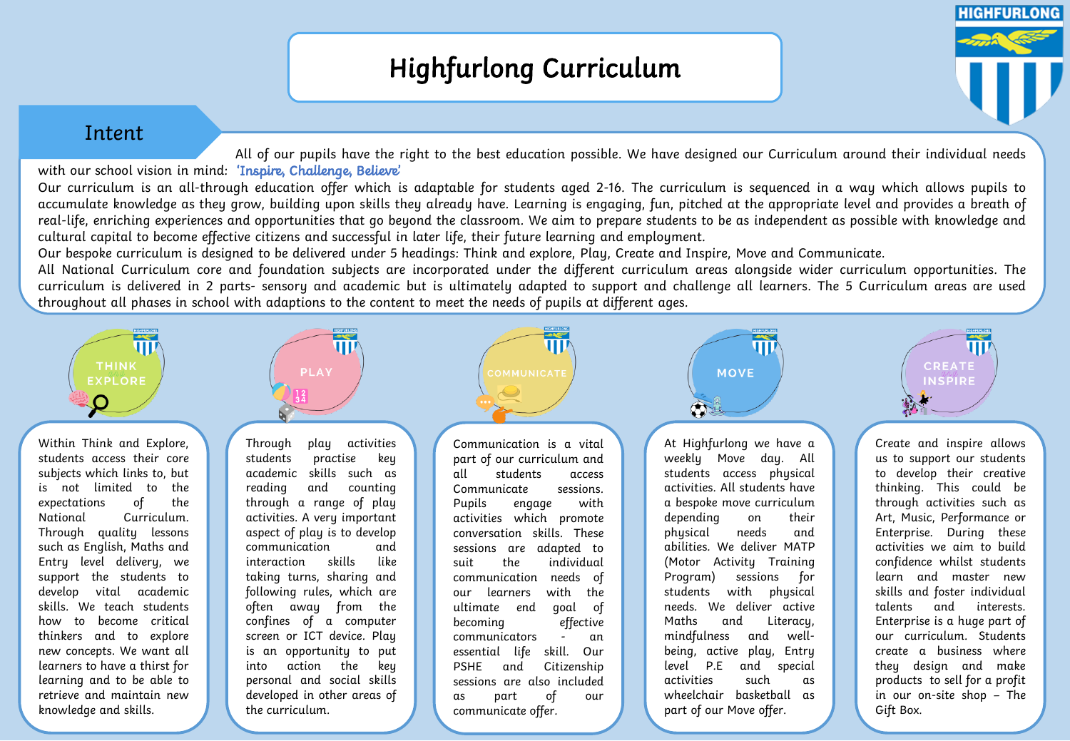# Highfurlong Curriculum

## Intent

All of our pupils have the right to the best education possible. We have designed our Curriculum around their individual needs with our school vision in mind: 'Inspire, Challenge, Believe' Our curriculum is an all-through education offer which is adaptable for students aged 2-16. The curriculum is sequenced in a way which allows pupils to accumulate knowledge as they grow, building upon skills they already have. Learning is engaging, fun, pitched at the appropriate level and provides a breath of real-life, enriching experiences and opportunities that go beyond the classroom. We aim to prepare students to be as independent as possible with knowledge and cultural capital to become effective citizens and successful in later life, their future learning and employment.

Our bespoke curriculum is designed to be delivered under 5 headings: Think and explore, Play, Create and Inspire, Move and Communicate.

All National Curriculum core and foundation subjects are incorporated under the different curriculum areas alongside wider curriculum opportunities. The curriculum is delivered in 2 parts- sensory and academic but is ultimately adapted to support and challenge all learners. The 5 Curriculum areas are used throughout all phases in school with adaptions to the content to meet the needs of pupils at different ages.



Within Think and Explore, students access their core subjects which links to, but is not limited to the expectations of the National Curriculum. Through quality lessons such as English, Maths and Entry level delivery, we support the students to develop vital academic skills. We teach students how to become critical thinkers and to explore new concepts. We want all learners to have a thirst for learning and to be able to retrieve and maintain new knowledge and skills.



Through play activities students practise key academic skills such as reading and counting through a range of play activities. A very important aspect of play is to develop communication and interaction skills like taking turns, sharing and following rules, which are often away from the confines of a computer screen or ICT device. Play is an opportunity to put into action the key personal and social skills developed in other areas of the curriculum.



Communication is a vital part of our curriculum and all students access Communicate sessions. Pupils engage with activities which promote conversation skills. These sessions are adapted to suit the individual communication needs of our learners with the ultimate end goal of becoming effective communicators - an essential life skill. Our PSHE and Citizenship sessions are also included as part of our communicate offer.

At Highfurlong we have a weekly Move day. All students access physical activities. All students have a bespoke move curriculum depending on their physical needs and abilities. We deliver MATP (Motor Activity Training Program) sessions for students with physical needs. We deliver active Maths and Literacy, mindfulness and wellbeing, active play, Entry level P.E and special activities such as wheelchair basketball as part of our Move offer.

 $\overline{\mathbf{u}}$ 

**MOVE** 

OF.

Create and inspire allows us to support our students to develop their creative thinking. This could be through activities such as Art, Music, Performance or Enterprise. During these activities we aim to build confidence whilst students learn and master new skills and foster individual talents and interests. Enterprise is a huge part of our curriculum. Students create a business where they design and make products to sell for a profit in our on-site shop – The Gift Box.

 $\Pi\overline{\mathbf{F}}$ 

**CREATE** 

INSPIRE

**HIGHFURLONG**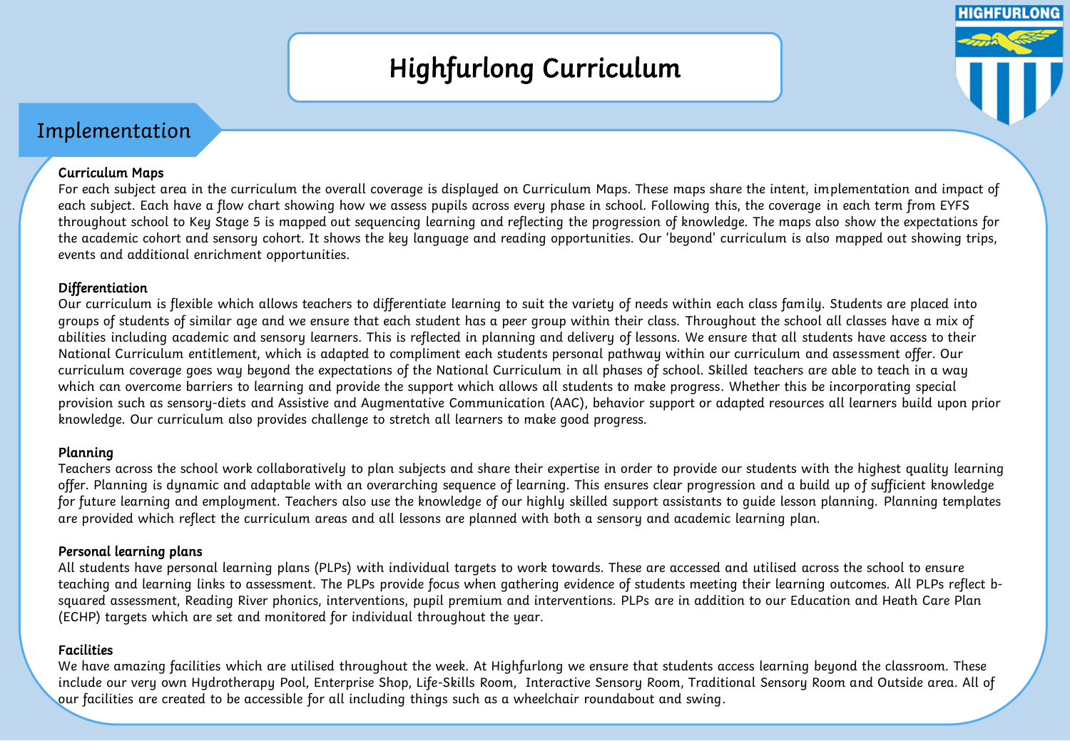# Highfurlong Curriculum

**HIGHFURLONG** 

# Implementation

## Curriculum Maps

For each subject area in the curriculum the overall coverage is displayed on Curriculum Maps. These maps share the intent, implementation and impact of each subject. Each have a flow chart showing how we assess pupils across every phase in school. Following this, the coverage in each term from EYFS throughout school to Key Stage 5 is mapped out sequencing learning and reflecting the progression of knowledge. The maps also show the expectations for the academic cohort and sensory cohort. It shows the key language and reading opportunities. Our 'beyond' curriculum is also mapped out showing trips, events and additional enrichment opportunities.

## Differentiation

Our curriculum is flexible which allows teachers to differentiate learning to suit the variety of needs within each class family. Students are placed into groups of students of similar age and we ensure that each student has a peer group within their class. Throughout the school all classes have a mix of abilities including academic and sensory learners. This is reflected in planning and delivery of lessons. We ensure that all students have access to their National Curriculum entitlement, which is adapted to compliment each students personal pathway within our curriculum and assessment offer. Our curriculum coverage goes way beyond the expectations of the National Curriculum in all phases of school. Skilled teachers are able to teach in a way which can overcome barriers to learning and provide the support which allows all students to make progress. Whether this be incorporating special provision such as sensory-diets and Assistive and Augmentative Communication (AAC), behavior support or adapted resources all learners build upon prior knowledge. Our curriculum also provides challenge to stretch all learners to make good progress.

## Planning

Teachers across the school work collaboratively to plan subjects and share their expertise in order to provide our students with the highest quality learning offer. Planning is dynamic and adaptable with an overarching sequence of learning. This ensures clear progression and a build up of sufficient knowledge for future learning and employment. Teachers also use the knowledge of our highly skilled support assistants to guide lesson planning. Planning templates are provided which reflect the curriculum areas and all lessons are planned with both a sensory and academic learning plan.

## Personal learning plans

All students have personal learning plans (PLPs) with individual targets to work towards. These are accessed and utilised across the school to ensure teaching and learning links to assessment. The PLPs provide focus when gathering evidence of students meeting their learning outcomes. All PLPs reflect bsquared assessment, Reading River phonics, interventions, pupil premium and interventions. PLPs are in addition to our Education and Heath Care Plan (ECHP) targets which are set and monitored for individual throughout the year.

## Facilities

We have amazing facilities which are utilised throughout the week. At Highfurlong we ensure that students access learning beyond the classroom. These include our very own Hydrotherapy Pool, Enterprise Shop, Life-Skills Room, Interactive Sensory Room, Traditional Sensory Room and Outside area. All of our facilities are created to be accessible for all including things such as a wheelchair roundabout and swing.